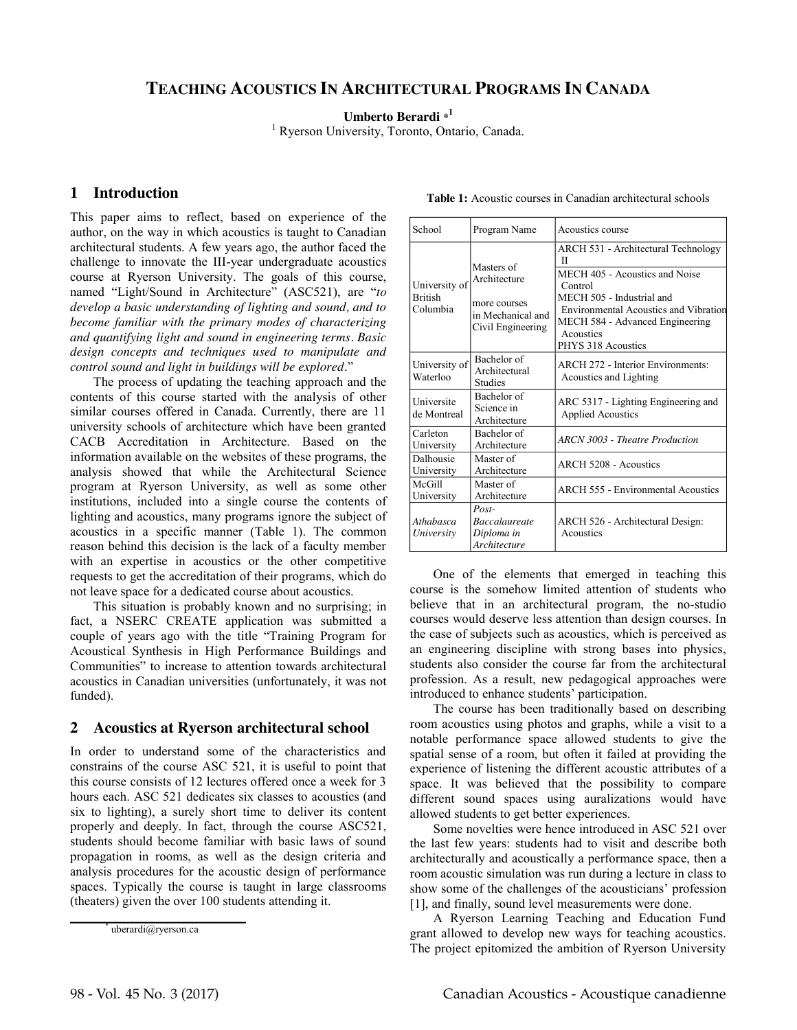# **TEACHING ACOUSTICS IN ARCHITECTURAL PROGRAMS IN CANADA**

**Umberto Berardi \* 1**

<sup>1</sup> Ryerson University, Toronto, Ontario, Canada.

## **1 Introduction**

This paper aims to reflect, based on experience of the author, on the way in which acoustics is taught to Canadian architectural students. A few years ago, the author faced the challenge to innovate the III-year undergraduate acoustics course at Ryerson University. The goals of this course, named "Light/Sound in Architecture" (ASC521), are "*to develop a basic understanding of lighting and sound, and to become familiar with the primary modes of characterizing and quantifying light and sound in engineering terms. Basic design concepts and techniques used to manipulate and control sound and light in buildings will be explored*."

The process of updating the teaching approach and the contents of this course started with the analysis of other similar courses offered in Canada. Currently, there are 11 university schools of architecture which have been granted CACB Accreditation in Architecture. Based on the information available on the websites of these programs, the analysis showed that while the Architectural Science program at Ryerson University, as well as some other institutions, included into a single course the contents of lighting and acoustics, many programs ignore the subject of acoustics in a specific manner (Table 1). The common reason behind this decision is the lack of a faculty member with an expertise in acoustics or the other competitive requests to get the accreditation of their programs, which do not leave space for a dedicated course about acoustics.

This situation is probably known and no surprising; in fact, a NSERC CREATE application was submitted a couple of years ago with the title "Training Program for Acoustical Synthesis in High Performance Buildings and Communities" to increase to attention towards architectural acoustics in Canadian universities (unfortunately, it was not funded).

#### **2 Acoustics at Ryerson architectural school**

In order to understand some of the characteristics and constrains of the course ASC 521, it is useful to point that this course consists of 12 lectures offered once a week for 3 hours each. ASC 521 dedicates six classes to acoustics (and six to lighting), a surely short time to deliver its content properly and deeply. In fact, through the course ASC521, students should become familiar with basic laws of sound propagation in rooms, as well as the design criteria and analysis procedures for the acoustic design of performance spaces. Typically the course is taught in large classrooms (theaters) given the over 100 students attending it.

uberardi@ryerson.ca

| School                                      | Program Name                                                                         | Acoustics course                                                                                                                                                                                                                         |
|---------------------------------------------|--------------------------------------------------------------------------------------|------------------------------------------------------------------------------------------------------------------------------------------------------------------------------------------------------------------------------------------|
| University of<br><b>British</b><br>Columbia | Masters of<br>Architecture<br>more courses<br>in Mechanical and<br>Civil Engineering | ARCH 531 - Architectural Technology<br>П<br>MECH 405 - Acoustics and Noise<br>Control<br>MECH 505 - Industrial and<br><b>Environmental Acoustics and Vibration</b><br>MECH 584 - Advanced Engineering<br>Acoustics<br>PHYS 318 Acoustics |
| University of<br>Waterloo                   | Bachelor of<br>Architectural<br><b>Studies</b>                                       | <b>ARCH 272 - Interior Environments:</b><br>Acoustics and Lighting                                                                                                                                                                       |
| Universite<br>de Montreal                   | Bachelor of<br>Science in<br>Architecture                                            | ARC 5317 - Lighting Engineering and<br><b>Applied Acoustics</b>                                                                                                                                                                          |
| Carleton<br>University                      | Bachelor of<br>Architecture                                                          | <b>ARCN 3003</b> - Theatre Production                                                                                                                                                                                                    |
| Dalhousie<br>University                     | Master of<br>Architecture                                                            | ARCH 5208 - Acoustics                                                                                                                                                                                                                    |
| McGill<br>University                        | Master of<br>Architecture                                                            | <b>ARCH 555 - Environmental Acoustics</b>                                                                                                                                                                                                |
| Athabasca<br>University                     | $Post-$<br><b>Baccalaureate</b><br>Diploma in<br>Architecture                        | ARCH 526 - Architectural Design:<br>Acoustics                                                                                                                                                                                            |

**Table 1:** Acoustic courses in Canadian architectural schools

One of the elements that emerged in teaching this course is the somehow limited attention of students who believe that in an architectural program, the no-studio courses would deserve less attention than design courses. In the case of subjects such as acoustics, which is perceived as an engineering discipline with strong bases into physics, students also consider the course far from the architectural profession. As a result, new pedagogical approaches were introduced to enhance students' participation.

The course has been traditionally based on describing room acoustics using photos and graphs, while a visit to a notable performance space allowed students to give the spatial sense of a room, but often it failed at providing the experience of listening the different acoustic attributes of a space. It was believed that the possibility to compare different sound spaces using auralizations would have allowed students to get better experiences.

Some novelties were hence introduced in ASC 521 over the last few years: students had to visit and describe both architecturally and acoustically a performance space, then a room acoustic simulation was run during a lecture in class to show some of the challenges of the acousticians' profession [1], and finally, sound level measurements were done.

A Ryerson Learning Teaching and Education Fund grant allowed to develop new ways for teaching acoustics. The project epitomized the ambition of Ryerson University